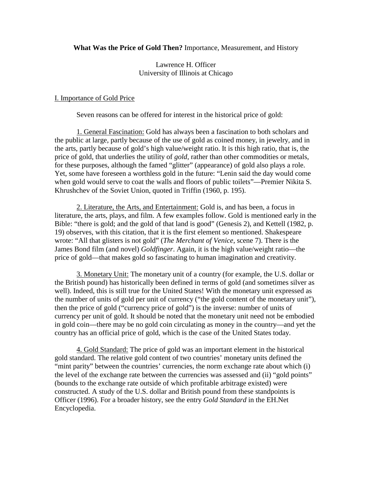**What Was the Price of Gold Then?** Importance, Measurement, and History

Lawrence H. Officer University of Illinois at Chicago

# I. Importance of Gold Price

Seven reasons can be offered for interest in the historical price of gold:

1. General Fascination: Gold has always been a fascination to both scholars and the public at large, partly because of the use of gold as coined money, in jewelry, and in the arts, partly because of gold's high value/weight ratio. It is this high ratio, that is, the price of gold, that underlies the utility of *gold*, rather than other commodities or metals, for these purposes, although the famed "glitter" (appearance) of gold also plays a role. Yet, some have foreseen a worthless gold in the future: "Lenin said the day would come when gold would serve to coat the walls and floors of public toilets"—Premier Nikita S. Khrushchev of the Soviet Union, quoted in Triffin (1960, p. 195).

 2. Literature, the Arts, and Entertainment: Gold is, and has been, a focus in literature, the arts, plays, and film. A few examples follow. Gold is mentioned early in the Bible: "there is gold; and the gold of that land is good" (Genesis 2), and Kettell (1982, p. 19) observes, with this citation, that it is the first element so mentioned. Shakespeare wrote: "All that glisters is not gold" (*The Merchant of Venice*, scene 7). There is the James Bond film (and novel) *Goldfinger*. Again, it is the high value/weight ratio—the price of gold—that makes gold so fascinating to human imagination and creativity.

 3. Monetary Unit: The monetary unit of a country (for example, the U.S. dollar or the British pound) has historically been defined in terms of gold (and sometimes silver as well). Indeed, this is still true for the United States! With the monetary unit expressed as the number of units of gold per unit of currency ("the gold content of the monetary unit"), then the price of gold ("currency price of gold") is the inverse: number of units of currency per unit of gold. It should be noted that the monetary unit need not be embodied in gold coin—there may be no gold coin circulating as money in the country—and yet the country has an official price of gold, which is the case of the United States today.

 4. Gold Standard: The price of gold was an important element in the historical gold standard. The relative gold content of two countries' monetary units defined the "mint parity" between the countries' currencies, the norm exchange rate about which (i) the level of the exchange rate between the currencies was assessed and (ii) "gold points" (bounds to the exchange rate outside of which profitable arbitrage existed) were constructed. A study of the U.S. dollar and British pound from these standpoints is Officer (1996). For a broader history, see the entry *Gold Standard* in the EH.Net Encyclopedia.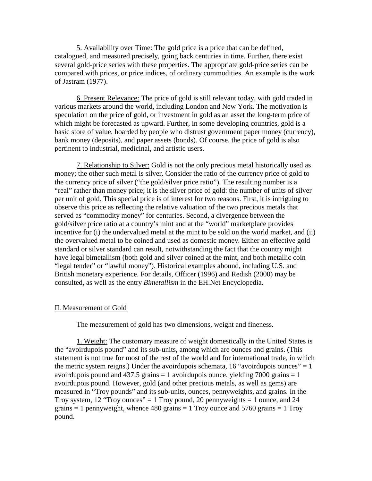5. Availability over Time: The gold price is a price that can be defined, catalogued, and measured precisely, going back centuries in time. Further, there exist several gold-price series with these properties. The appropriate gold-price series can be compared with prices, or price indices, of ordinary commodities. An example is the work of Jastram (1977).

 6. Present Relevance: The price of gold is still relevant today, with gold traded in various markets around the world, including London and New York. The motivation is speculation on the price of gold, or investment in gold as an asset the long-term price of which might be forecasted as upward. Further, in some developing countries, gold is a basic store of value, hoarded by people who distrust government paper money (currency), bank money (deposits), and paper assets (bonds). Of course, the price of gold is also pertinent to industrial, medicinal, and artistic users.

 7. Relationship to Silver: Gold is not the only precious metal historically used as money; the other such metal is silver. Consider the ratio of the currency price of gold to the currency price of silver ("the gold/silver price ratio"). The resulting number is a "real" rather than money price; it is the silver price of gold: the number of units of silver per unit of gold. This special price is of interest for two reasons. First, it is intriguing to observe this price as reflecting the relative valuation of the two precious metals that served as "commodity money" for centuries. Second, a divergence between the gold/silver price ratio at a country's mint and at the "world" marketplace provides incentive for (i) the undervalued metal at the mint to be sold on the world market, and (ii) the overvalued metal to be coined and used as domestic money. Either an effective gold standard or silver standard can result, notwithstanding the fact that the country might have legal bimetallism (both gold and silver coined at the mint, and both metallic coin "legal tender" or "lawful money"). Historical examples abound, including U.S. and British monetary experience. For details, Officer (1996) and Redish (2000) may be consulted, as well as the entry *Bimetallism* in the EH.Net Encyclopedia.

## II. Measurement of Gold

The measurement of gold has two dimensions, weight and fineness.

 1. Weight: The customary measure of weight domestically in the United States is the "avoirdupois pound" and its sub-units, among which are ounces and grains. (This statement is not true for most of the rest of the world and for international trade, in which the metric system reigns.) Under the avoirdupois schemata, 16 "avoirdupois ounces"  $= 1$ avoirdupois pound and  $437.5$  grains = 1 avoirdupois ounce, yielding  $7000$  grains = 1 avoirdupois pound. However, gold (and other precious metals, as well as gems) are measured in "Troy pounds" and its sub-units, ounces, pennyweights, and grains. In the Troy system, 12 "Troy ounces" = 1 Troy pound, 20 pennyweights = 1 ounce, and 24 grains  $= 1$  pennyweight, whence 480 grains  $= 1$  Troy ounce and 5760 grains  $= 1$  Troy pound.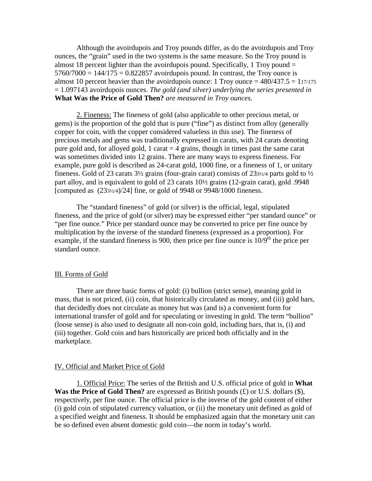Although the avoirdupois and Troy pounds differ, as do the avoirdupois and Troy ounces, the "grain" used in the two systems is the same measure. So the Troy pound is almost 18 percent lighter than the avoirdupois pound. Specifically, 1 Troy pound  $=$  $5760/7000 = 144/175 = 0.822857$  avoirdupois pound. In contrast, the Troy ounce is almost 10 percent heavier than the avoirdupois ounce: 1 Troy ounce  $= 480/437.5 = 117/175$ = 1.097143 avoirdupois ounces. *The gold (and silver) underlying the series presented in* **What Was the Price of Gold Then?** *are measured in Troy ounces.*

 2. Fineness: The fineness of gold (also applicable to other precious metal, or gems) is the proportion of the gold that is pure ("fine") as distinct from alloy (generally copper for coin, with the copper considered valueless in this use). The fineness of precious metals and gems was traditionally expressed in carats, with 24 carats denoting pure gold and, for alloyed gold, 1 carat  $=$  4 grains, though in times past the same carat was sometimes divided into 12 grains. There are many ways to express fineness. For example, pure gold is described as 24-carat gold, 1000 fine, or a fineness of 1, or unitary fineness. Gold of 23 carats  $3\frac{1}{2}$  grains (four-grain carat) consists of 23 $\frac{3\frac{1}{2}}{4}$  parts gold to  $\frac{1}{2}$ part alloy, and is equivalent to gold of 23 carats 10½ grains (12-grain carat), gold .9948 [computed as (233½/4)/24] fine, or gold of 9948 or 9948/1000 fineness.

 The "standard fineness" of gold (or silver) is the official, legal, stipulated fineness, and the price of gold (or silver) may be expressed either "per standard ounce" or "per fine ounce." Price per standard ounce may be converted to price per fine ounce by multiplication by the inverse of the standard fineness (expressed as a proportion). For example, if the standard fineness is 900, then price per fine ounce is  $10/9<sup>th</sup>$  the price per standard ounce.

## III. Forms of Gold

 There are three basic forms of gold: (i) bullion (strict sense), meaning gold in mass, that is not priced, (ii) coin, that historically circulated as money, and (iii) gold bars, that decidedly does not circulate as money but was (and is) a convenient form for international transfer of gold and for speculating or investing in gold. The term "bullion" (loose sense) is also used to designate all non-coin gold, including bars, that is, (i) and (iii) together. Gold coin and bars historically are priced both officially and in the marketplace.

#### IV. Official and Market Price of Gold

 1. Official Price: The series of the British and U.S. official price of gold in **What Was the Price of Gold Then?** are expressed as British pounds (£) or U.S. dollars (\$), respectively, per fine ounce. The official price is the inverse of the gold content of either (i) gold coin of stipulated currency valuation, or (ii) the monetary unit defined as gold of a specified weight and fineness. It should be emphasized again that the monetary unit can be so defined even absent domestic gold coin—the norm in today's world.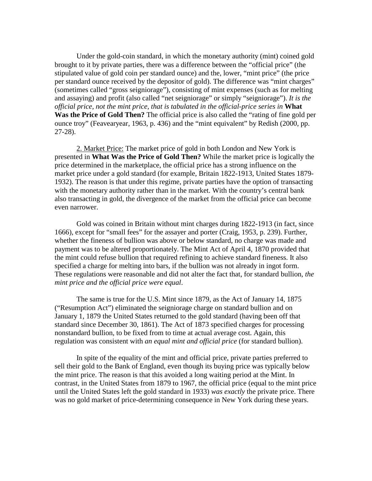Under the gold-coin standard, in which the monetary authority (mint) coined gold brought to it by private parties, there was a difference between the "official price" (the stipulated value of gold coin per standard ounce) and the, lower, "mint price" (the price per standard ounce received by the depositor of gold). The difference was "mint charges" (sometimes called "gross seigniorage"), consisting of mint expenses (such as for melting and assaying) and profit (also called "net seigniorage" or simply "seigniorage"). *It is the official price, not the mint price, that is tabulated in the official-price series in* **What Was the Price of Gold Then?** The official price is also called the "rating of fine gold per ounce troy" (Feavearyear, 1963, p. 436) and the "mint equivalent" by Redish (2000, pp. 27-28).

 2. Market Price: The market price of gold in both London and New York is presented in **What Was the Price of Gold Then?** While the market price is logically the price determined in the marketplace, the official price has a strong influence on the market price under a gold standard (for example, Britain 1822-1913, United States 1879- 1932). The reason is that under this regime, private parties have the option of transacting with the monetary authority rather than in the market. With the country's central bank also transacting in gold, the divergence of the market from the official price can become even narrower.

Gold was coined in Britain without mint charges during 1822-1913 (in fact, since 1666), except for "small fees" for the assayer and porter (Craig, 1953, p. 239). Further, whether the fineness of bullion was above or below standard, no charge was made and payment was to be altered proportionately. The Mint Act of April 4, 1870 provided that the mint could refuse bullion that required refining to achieve standard fineness. It also specified a charge for melting into bars, if the bullion was not already in ingot form. These regulations were reasonable and did not alter the fact that, for standard bullion*, the mint price and the official price were equal*.

The same is true for the U.S. Mint since 1879, as the Act of January 14, 1875 ("Resumption Act") eliminated the seigniorage charge on standard bullion and on January 1, 1879 the United States returned to the gold standard (having been off that standard since December 30, 1861). The Act of 1873 specified charges for processing nonstandard bullion, to be fixed from to time at actual average cost. Again, this regulation was consistent with *an equal mint and official price* (for standard bullion).

In spite of the equality of the mint and official price, private parties preferred to sell their gold to the Bank of England, even though its buying price was typically below the mint price. The reason is that this avoided a long waiting period at the Mint. In contrast, in the United States from 1879 to 1967, the official price (equal to the mint price until the United States left the gold standard in 1933) *was exactly* the private price. There was no gold market of price-determining consequence in New York during these years.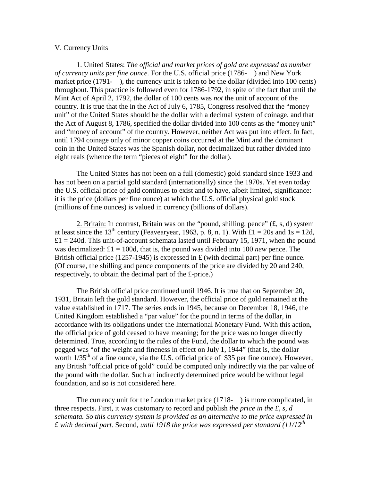### V. Currency Units

 1. United States: *The official and market prices of gold are expressed as number of currency units per fine ounce.* For the U.S. official price (1786- ) and New York market price (1791-), the currency unit is taken to be the dollar (divided into 100 cents) throughout. This practice is followed even for 1786-1792, in spite of the fact that until the Mint Act of April 2, 1792, the dollar of 100 cents was *not* the unit of account of the country. It is true that the in the Act of July 6, 1785, Congress resolved that the "money unit" of the United States should be the dollar with a decimal system of coinage, and that the Act of August 8, 1786, specified the dollar divided into 100 cents as the "money unit" and "money of account" of the country. However, neither Act was put into effect. In fact, until 1794 coinage only of minor copper coins occurred at the Mint and the dominant coin in the United States was the Spanish dollar, not decimalized but rather divided into eight reals (whence the term "pieces of eight" for the dollar).

 The United States has not been on a full (domestic) gold standard since 1933 and has not been on a partial gold standard (internationally) since the 1970s. Yet even today the U.S. official price of gold continues to exist and to have, albeit limited, significance: it is the price (dollars per fine ounce) at which the U.S. official physical gold stock (millions of fine ounces) is valued in currency (billions of dollars).

2. Britain: In contrast, Britain was on the "pound, shilling, pence"  $(f, s, d)$  system at least since the 13<sup>th</sup> century (Feavearyear, 1963, p. 8, n. 1). With £1 = 20s and 1s = 12d,  $£1 = 240d$ . This unit-of-account schemata lasted until February 15, 1971, when the pound was decimalized:  $\pounds 1 = 100d$ , that is, the pound was divided into 100 *new* pence. The British official price (1257-1945) is expressed in  $\pounds$  (with decimal part) per fine ounce. (Of course, the shilling and pence components of the price are divided by 20 and 240, respectively, to obtain the decimal part of the £-price.)

The British official price continued until 1946. It is true that on September 20, 1931, Britain left the gold standard. However, the official price of gold remained at the value established in 1717. The series ends in 1945, because on December 18, 1946, the United Kingdom established a "par value" for the pound in terms of the dollar, in accordance with its obligations under the International Monetary Fund. With this action, the official price of gold ceased to have meaning; for the price was no longer directly determined. True, according to the rules of the Fund, the dollar to which the pound was pegged was "of the weight and fineness in effect on July 1, 1944" (that is, the dollar worth 1/35<sup>th</sup> of a fine ounce, via the U.S. official price of \$35 per fine ounce). However, any British "official price of gold" could be computed only indirectly via the par value of the pound with the dollar. Such an indirectly determined price would be without legal foundation, and so is not considered here.

 The currency unit for the London market price (1718- ) is more complicated, in three respects. First, it was customary to record and publish *the price in the £, s, d schemata. So this currency system is provided as an alternative to the price expressed in £ with decimal part.* Second, *until 1918 the price was expressed per standard (11/12th*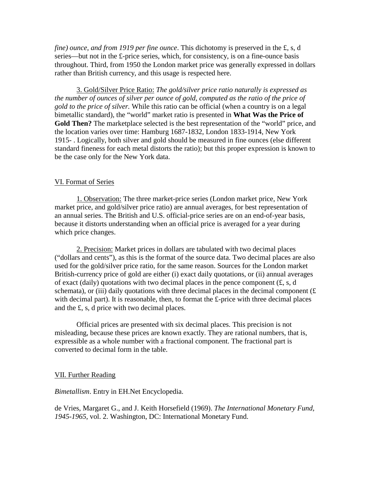*fine) ounce, and from 1919 per fine ounce*. This dichotomy is preserved in the £, s, d series—but not in the £-price series, which, for consistency, is on a fine-ounce basis throughout. Third, from 1950 the London market price was generally expressed in dollars rather than British currency, and this usage is respected here.

 3. Gold/Silver Price Ratio: *The gold/silver price ratio naturally is expressed as the number of ounces of silver per ounce of gold, computed as the ratio of the price of gold to the price of silver.* While this ratio can be official (when a country is on a legal bimetallic standard), the "world" market ratio is presented in **What Was the Price of Gold Then?** The marketplace selected is the best representation of the "world" price, and the location varies over time: Hamburg 1687-1832, London 1833-1914, New York 1915- . Logically, both silver and gold should be measured in fine ounces (else different standard fineness for each metal distorts the ratio); but this proper expression is known to be the case only for the New York data.

## VI. Format of Series

 1. Observation: The three market-price series (London market price, New York market price, and gold/silver price ratio) are annual averages, for best representation of an annual series. The British and U.S. official-price series are on an end-of-year basis, because it distorts understanding when an official price is averaged for a year during which price changes.

 2. Precision: Market prices in dollars are tabulated with two decimal places ("dollars and cents"), as this is the format of the source data. Two decimal places are also used for the gold/silver price ratio, for the same reason. Sources for the London market British-currency price of gold are either (i) exact daily quotations, or (ii) annual averages of exact (daily) quotations with two decimal places in the pence component  $(f, s, d)$ schemata), or (iii) daily quotations with three decimal places in the decimal component  $(E)$ with decimal part). It is reasonable, then, to format the £-price with three decimal places and the £, s, d price with two decimal places.

 Official prices are presented with six decimal places. This precision is not misleading, because these prices are known exactly. They are rational numbers, that is, expressible as a whole number with a fractional component. The fractional part is converted to decimal form in the table.

#### VII. Further Reading

*Bimetallism*. Entry in EH.Net Encyclopedia.

de Vries, Margaret G., and J. Keith Horsefield (1969). *The International Monetary Fund, 1945-1965*, vol. 2. Washington, DC: International Monetary Fund.